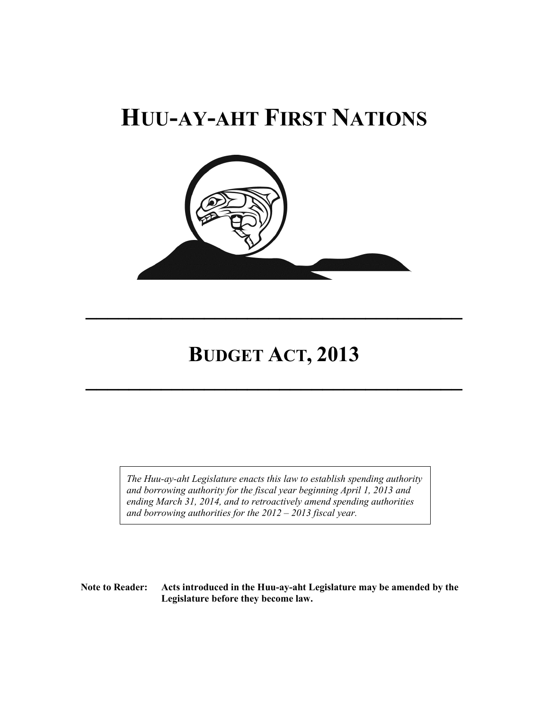# **HUU-AY-AHT FIRST NATIONS**



## **BUDGET ACT, 2013**

 $\mathcal{L}=\mathcal{L}^{\mathcal{L}}$  , where  $\mathcal{L}^{\mathcal{L}}$  ,  $\mathcal{L}^{\mathcal{L}}$  ,  $\mathcal{L}^{\mathcal{L}}$  ,  $\mathcal{L}^{\mathcal{L}}$  ,  $\mathcal{L}^{\mathcal{L}}$  ,  $\mathcal{L}^{\mathcal{L}}$  ,  $\mathcal{L}^{\mathcal{L}}$  ,  $\mathcal{L}^{\mathcal{L}}$  ,  $\mathcal{L}^{\mathcal{L}}$  ,  $\mathcal{L}^{\mathcal{L}}$  ,  $\mathcal{L}^{\mathcal$ 

 $\mathcal{L}=\mathcal{L}^{\mathcal{L}}$  , where  $\mathcal{L}^{\mathcal{L}}$  ,  $\mathcal{L}^{\mathcal{L}}$  ,  $\mathcal{L}^{\mathcal{L}}$  ,  $\mathcal{L}^{\mathcal{L}}$  ,  $\mathcal{L}^{\mathcal{L}}$  ,  $\mathcal{L}^{\mathcal{L}}$  ,  $\mathcal{L}^{\mathcal{L}}$  ,  $\mathcal{L}^{\mathcal{L}}$  ,  $\mathcal{L}^{\mathcal{L}}$  ,  $\mathcal{L}^{\mathcal{L}}$  ,  $\mathcal{L}^{\mathcal$ 

*The Huu-ay-aht Legislature enacts this law to establish spending authority and borrowing authority for the fiscal year beginning April 1, 2013 and ending March 31, 2014, and to retroactively amend spending authorities and borrowing authorities for the 2012 – 2013 fiscal year.*

**Note to Reader: Acts introduced in the Huu-ay-aht Legislature may be amended by the Legislature before they become law.**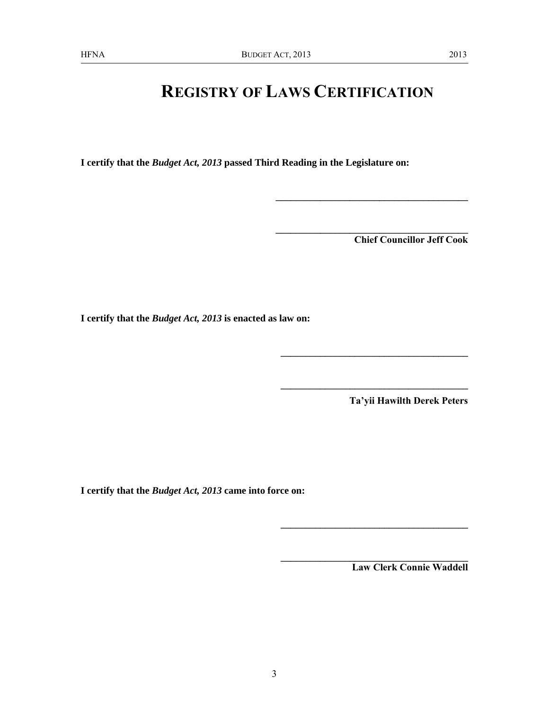## **REGISTRY OF LAWS CERTIFICATION**

**I certify that the** *Budget Act, 2013* **passed Third Reading in the Legislature on:**

**Chief Councillor Jeff Cook**

**\_\_\_\_\_\_\_\_\_\_\_\_\_\_\_\_\_\_\_\_\_\_\_\_\_\_\_\_\_\_\_\_\_\_\_\_\_\_\_**

**\_\_\_\_\_\_\_\_\_\_\_\_\_\_\_\_\_\_\_\_\_\_\_\_\_\_\_\_\_\_\_\_\_\_\_\_\_\_\_**

**\_\_\_\_\_\_\_\_\_\_\_\_\_\_\_\_\_\_\_\_\_\_\_\_\_\_\_\_\_\_\_\_\_\_\_\_\_\_**

**\_\_\_\_\_\_\_\_\_\_\_\_\_\_\_\_\_\_\_\_\_\_\_\_\_\_\_\_\_\_\_\_\_\_\_\_\_\_**

**\_\_\_\_\_\_\_\_\_\_\_\_\_\_\_\_\_\_\_\_\_\_\_\_\_\_\_\_\_\_\_\_\_\_\_\_\_\_**

**I certify that the** *Budget Act, 2013* **is enacted as law on:**

**Ta'yii Hawilth Derek Peters**

**I certify that the** *Budget Act, 2013* **came into force on:** 

**Law Clerk Connie Waddell**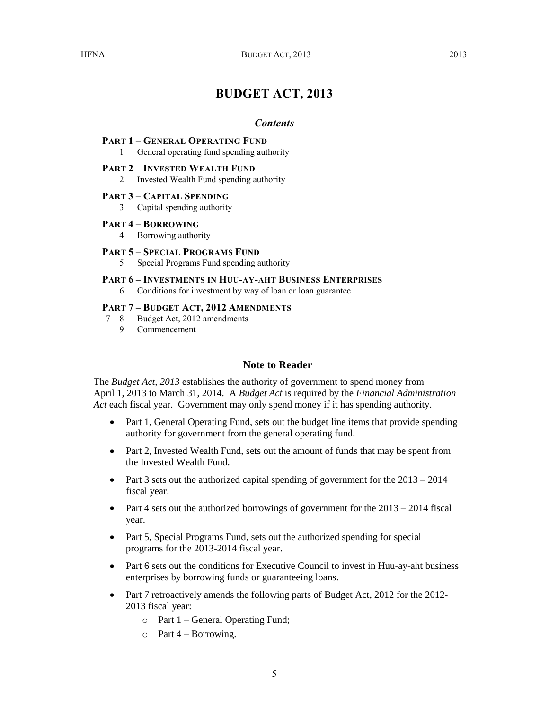## **BUDGET ACT, 2013**

#### *Contents*

#### **PART 1 – GENERAL OPERATING FUND**

1 General operating fund spending authority

#### **PART 2 – INVESTED WEALTH FUND**

2 Invested Wealth Fund spending authority

#### **PART 3 – CAPITAL SPENDING**

3 Capital spending authority

## **PART 4 – BORROWING**

4 Borrowing authority

#### **PART 5 – SPECIAL PROGRAMS FUND**

5 Special Programs Fund spending authority

## **PART 6 – INVESTMENTS IN HUU-AY-AHT BUSINESS ENTERPRISES**

6 Conditions for investment by way of loan or loan guarantee

#### **PART 7 – BUDGET ACT, 2012 AMENDMENTS**

- 7 8 Budget Act, 2012 amendments
	- 9 Commencement

## **Note to Reader**

The *Budget Act, 2013* establishes the authority of government to spend money from April 1, 2013 to March 31, 2014. A *Budget Act* is required by the *Financial Administration Act* each fiscal year. Government may only spend money if it has spending authority.

- Part 1, General Operating Fund, sets out the budget line items that provide spending authority for government from the general operating fund.
- Part 2, Invested Wealth Fund, sets out the amount of funds that may be spent from the Invested Wealth Fund.
- Part 3 sets out the authorized capital spending of government for the  $2013 2014$ fiscal year.
- Part 4 sets out the authorized borrowings of government for the  $2013 2014$  fiscal year.
- Part 5, Special Programs Fund, sets out the authorized spending for special programs for the 2013-2014 fiscal year.
- Part 6 sets out the conditions for Executive Council to invest in Huu-ay-aht business enterprises by borrowing funds or guaranteeing loans.
- Part 7 retroactively amends the following parts of Budget Act, 2012 for the 2012-2013 fiscal year:
	- o Part 1 General Operating Fund;
	- $\circ$  Part 4 Borrowing.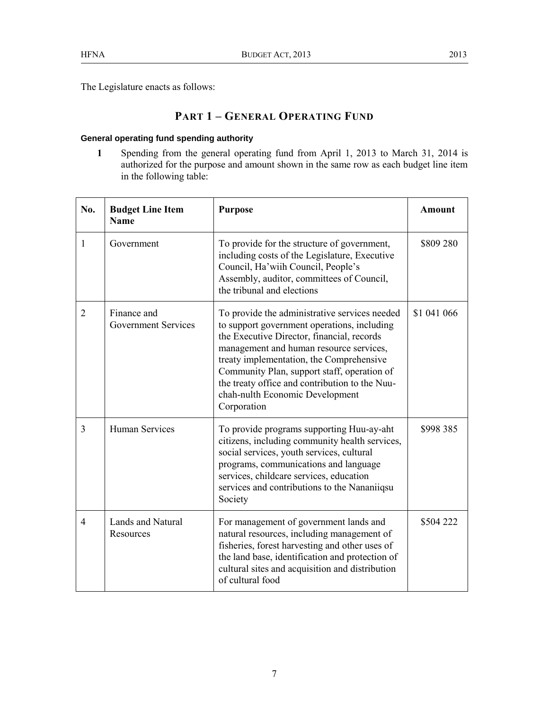The Legislature enacts as follows:

## **PART 1 – GENERAL OPERATING FUND**

## **General operating fund spending authority**

**1** Spending from the general operating fund from April 1, 2013 to March 31, 2014 is authorized for the purpose and amount shown in the same row as each budget line item in the following table:

| No.            | <b>Budget Line Item</b><br><b>Name</b>    | <b>Purpose</b>                                                                                                                                                                                                                                                                                                                                                                       | <b>Amount</b> |
|----------------|-------------------------------------------|--------------------------------------------------------------------------------------------------------------------------------------------------------------------------------------------------------------------------------------------------------------------------------------------------------------------------------------------------------------------------------------|---------------|
| $\mathbf{1}$   | Government                                | To provide for the structure of government,<br>including costs of the Legislature, Executive<br>Council, Ha'wiih Council, People's<br>Assembly, auditor, committees of Council,<br>the tribunal and elections                                                                                                                                                                        | \$809 280     |
| $\overline{2}$ | Finance and<br><b>Government Services</b> | To provide the administrative services needed<br>to support government operations, including<br>the Executive Director, financial, records<br>management and human resource services,<br>treaty implementation, the Comprehensive<br>Community Plan, support staff, operation of<br>the treaty office and contribution to the Nuu-<br>chah-nulth Economic Development<br>Corporation | \$1 041 066   |
| $\overline{3}$ | <b>Human Services</b>                     | To provide programs supporting Huu-ay-aht<br>citizens, including community health services,<br>social services, youth services, cultural<br>programs, communications and language<br>services, childcare services, education<br>services and contributions to the Nananiiqsu<br>Society                                                                                              | \$998 385     |
| $\overline{4}$ | <b>Lands and Natural</b><br>Resources     | For management of government lands and<br>natural resources, including management of<br>fisheries, forest harvesting and other uses of<br>the land base, identification and protection of<br>cultural sites and acquisition and distribution<br>of cultural food                                                                                                                     | \$504 222     |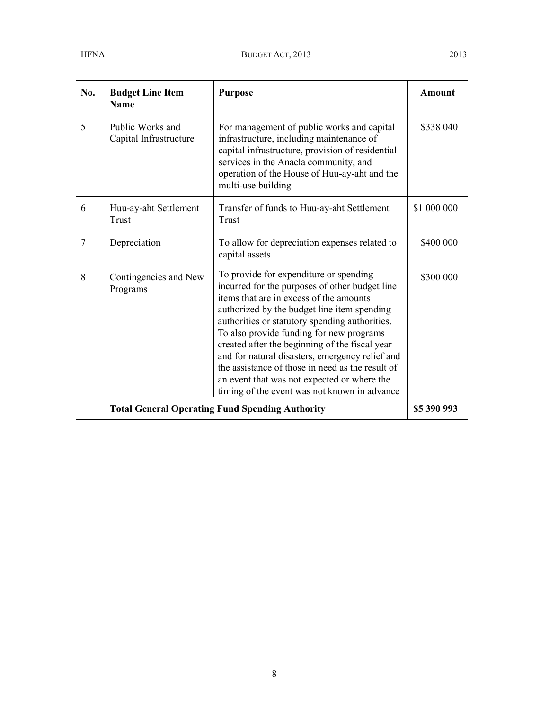| No. | <b>Budget Line Item</b><br><b>Name</b>                 | <b>Purpose</b>                                                                                                                                                                                                                                                                                                                                                                                                                                                                                                                           | <b>Amount</b> |
|-----|--------------------------------------------------------|------------------------------------------------------------------------------------------------------------------------------------------------------------------------------------------------------------------------------------------------------------------------------------------------------------------------------------------------------------------------------------------------------------------------------------------------------------------------------------------------------------------------------------------|---------------|
| 5   | Public Works and<br>Capital Infrastructure             | For management of public works and capital<br>infrastructure, including maintenance of<br>capital infrastructure, provision of residential<br>services in the Anacla community, and<br>operation of the House of Huu-ay-aht and the<br>multi-use building                                                                                                                                                                                                                                                                                | \$338 040     |
| 6   | Huu-ay-aht Settlement<br>Trust                         | Transfer of funds to Huu-ay-aht Settlement<br>Trust                                                                                                                                                                                                                                                                                                                                                                                                                                                                                      | \$1 000 000   |
| 7   | Depreciation                                           | To allow for depreciation expenses related to<br>capital assets                                                                                                                                                                                                                                                                                                                                                                                                                                                                          | \$400 000     |
| 8   | Contingencies and New<br>Programs                      | To provide for expenditure or spending<br>incurred for the purposes of other budget line<br>items that are in excess of the amounts<br>authorized by the budget line item spending<br>authorities or statutory spending authorities.<br>To also provide funding for new programs<br>created after the beginning of the fiscal year<br>and for natural disasters, emergency relief and<br>the assistance of those in need as the result of<br>an event that was not expected or where the<br>timing of the event was not known in advance | \$300 000     |
|     | <b>Total General Operating Fund Spending Authority</b> |                                                                                                                                                                                                                                                                                                                                                                                                                                                                                                                                          | \$5 390 993   |

8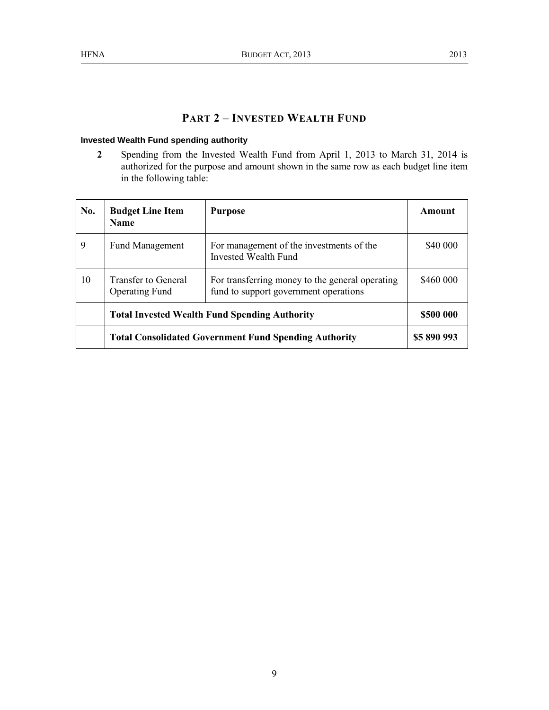## **PART 2 – INVESTED WEALTH FUND**

## **Invested Wealth Fund spending authority**

**2** Spending from the Invested Wealth Fund from April 1, 2013 to March 31, 2014 is authorized for the purpose and amount shown in the same row as each budget line item in the following table:

| No. | <b>Budget Line Item</b><br><b>Name</b>                       | <b>Purpose</b>                                                                           | Amount      |
|-----|--------------------------------------------------------------|------------------------------------------------------------------------------------------|-------------|
| 9   | <b>Fund Management</b>                                       | For management of the investments of the<br>Invested Wealth Fund                         | \$40 000    |
| 10  | <b>Transfer to General</b><br><b>Operating Fund</b>          | For transferring money to the general operating<br>fund to support government operations | \$460 000   |
|     | <b>Total Invested Wealth Fund Spending Authority</b>         |                                                                                          | \$500 000   |
|     | <b>Total Consolidated Government Fund Spending Authority</b> |                                                                                          | \$5 890 993 |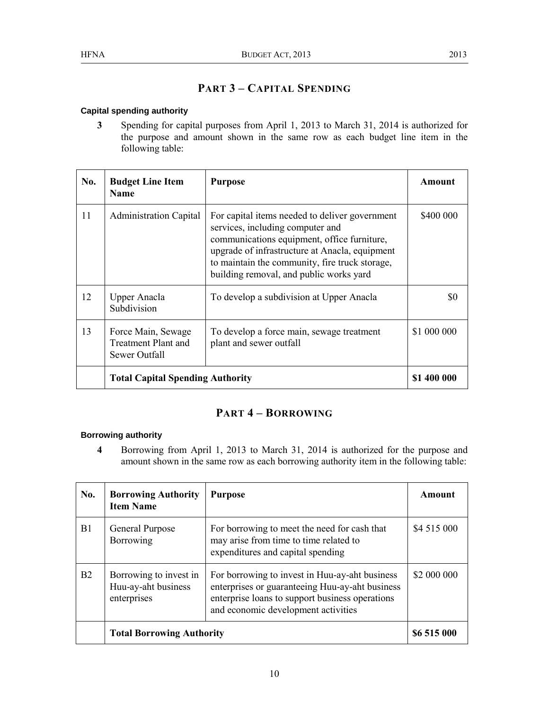## **PART 3 – CAPITAL SPENDING**

## **Capital spending authority**

**3** Spending for capital purposes from April 1, 2013 to March 31, 2014 is authorized for the purpose and amount shown in the same row as each budget line item in the following table:

| No. | <b>Budget Line Item</b><br><b>Name</b>                            | <b>Purpose</b>                                                                                                                                                                                                                                                                   | Amount      |
|-----|-------------------------------------------------------------------|----------------------------------------------------------------------------------------------------------------------------------------------------------------------------------------------------------------------------------------------------------------------------------|-------------|
| 11  | <b>Administration Capital</b>                                     | For capital items needed to deliver government<br>services, including computer and<br>communications equipment, office furniture,<br>upgrade of infrastructure at Anacla, equipment<br>to maintain the community, fire truck storage,<br>building removal, and public works yard | \$400 000   |
| 12  | <b>Upper Anacla</b><br>Subdivision                                | To develop a subdivision at Upper Anacla                                                                                                                                                                                                                                         | \$0         |
| 13  | Force Main, Sewage<br><b>Treatment Plant and</b><br>Sewer Outfall | To develop a force main, sewage treatment<br>plant and sewer outfall                                                                                                                                                                                                             | \$1 000 000 |
|     | <b>Total Capital Spending Authority</b>                           |                                                                                                                                                                                                                                                                                  | \$1 400 000 |

## **PART 4 – BORROWING**

## **Borrowing authority**

**4** Borrowing from April 1, 2013 to March 31, 2014 is authorized for the purpose and amount shown in the same row as each borrowing authority item in the following table:

| No.            | <b>Borrowing Authority</b><br><b>Item Name</b>               | <b>Purpose</b>                                                                                                                                                                              | Amount      |
|----------------|--------------------------------------------------------------|---------------------------------------------------------------------------------------------------------------------------------------------------------------------------------------------|-------------|
| B1             | General Purpose<br>Borrowing                                 | For borrowing to meet the need for cash that<br>may arise from time to time related to<br>expenditures and capital spending                                                                 | \$4 515 000 |
| B <sub>2</sub> | Borrowing to invest in<br>Huu-ay-aht business<br>enterprises | For borrowing to invest in Huu-ay-aht business<br>enterprises or guaranteeing Huu-ay-aht business<br>enterprise loans to support business operations<br>and economic development activities | \$2 000 000 |
|                | <b>Total Borrowing Authority</b>                             |                                                                                                                                                                                             | \$6 515 000 |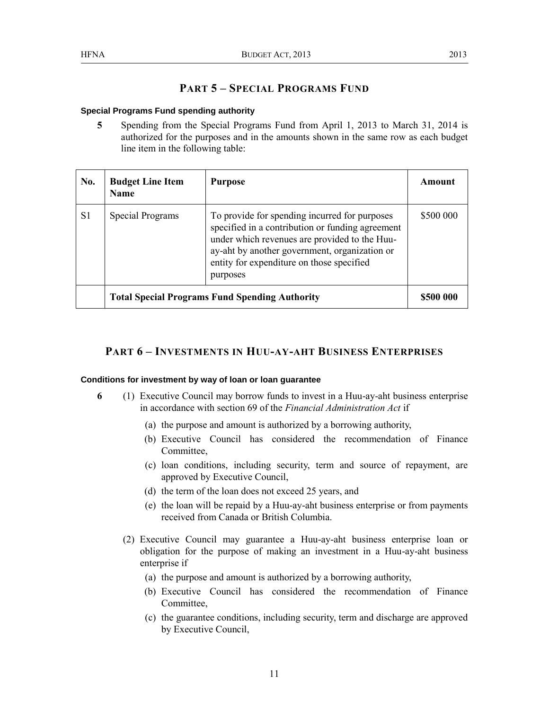## **PART 5 – SPECIAL PROGRAMS FUND**

## **Special Programs Fund spending authority**

**5** Spending from the Special Programs Fund from April 1, 2013 to March 31, 2014 is authorized for the purposes and in the amounts shown in the same row as each budget line item in the following table:

| No. | <b>Budget Line Item</b><br><b>Name</b>                | <b>Purpose</b>                                                                                                                                                                                                                                               | Amount    |
|-----|-------------------------------------------------------|--------------------------------------------------------------------------------------------------------------------------------------------------------------------------------------------------------------------------------------------------------------|-----------|
| S1  | Special Programs                                      | To provide for spending incurred for purposes<br>specified in a contribution or funding agreement<br>under which revenues are provided to the Huu-<br>ay-aht by another government, organization or<br>entity for expenditure on those specified<br>purposes | \$500 000 |
|     | <b>Total Special Programs Fund Spending Authority</b> |                                                                                                                                                                                                                                                              |           |

## **PART 6 – INVESTMENTS IN HUU-AY-AHT BUSINESS ENTERPRISES**

#### **Conditions for investment by way of loan or loan guarantee**

- **6** (1) Executive Council may borrow funds to invest in a Huu-ay-aht business enterprise in accordance with section 69 of the *Financial Administration Act* if
	- (a) the purpose and amount is authorized by a borrowing authority,
	- (b) Executive Council has considered the recommendation of Finance Committee,
	- (c) loan conditions, including security, term and source of repayment, are approved by Executive Council,
	- (d) the term of the loan does not exceed 25 years, and
	- (e) the loan will be repaid by a Huu-ay-aht business enterprise or from payments received from Canada or British Columbia.
	- (2) Executive Council may guarantee a Huu-ay-aht business enterprise loan or obligation for the purpose of making an investment in a Huu-ay-aht business enterprise if
		- (a) the purpose and amount is authorized by a borrowing authority,
		- (b) Executive Council has considered the recommendation of Finance Committee,
		- (c) the guarantee conditions, including security, term and discharge are approved by Executive Council,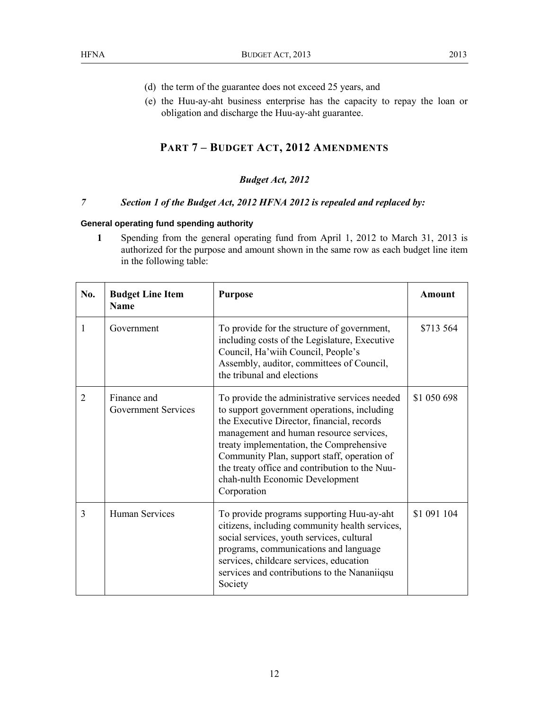- (d) the term of the guarantee does not exceed 25 years, and
- (e) the Huu-ay-aht business enterprise has the capacity to repay the loan or obligation and discharge the Huu-ay-aht guarantee.

## **PART 7 – BUDGET ACT, 2012 AMENDMENTS**

## *Budget Act, 2012*

## *7 Section 1 of the Budget Act, 2012 HFNA 2012 is repealed and replaced by:*

#### **General operating fund spending authority**

**1** Spending from the general operating fund from April 1, 2012 to March 31, 2013 is authorized for the purpose and amount shown in the same row as each budget line item in the following table:

| No. | <b>Budget Line Item</b><br><b>Name</b>    | <b>Purpose</b>                                                                                                                                                                                                                                                                                                                                                                       | <b>Amount</b> |
|-----|-------------------------------------------|--------------------------------------------------------------------------------------------------------------------------------------------------------------------------------------------------------------------------------------------------------------------------------------------------------------------------------------------------------------------------------------|---------------|
| 1   | Government                                | To provide for the structure of government,<br>including costs of the Legislature, Executive<br>Council, Ha'wiih Council, People's<br>Assembly, auditor, committees of Council,<br>the tribunal and elections                                                                                                                                                                        | \$713 564     |
| 2   | Finance and<br><b>Government Services</b> | To provide the administrative services needed<br>to support government operations, including<br>the Executive Director, financial, records<br>management and human resource services,<br>treaty implementation, the Comprehensive<br>Community Plan, support staff, operation of<br>the treaty office and contribution to the Nuu-<br>chah-nulth Economic Development<br>Corporation | \$1 050 698   |
| 3   | <b>Human Services</b>                     | To provide programs supporting Huu-ay-aht<br>citizens, including community health services,<br>social services, youth services, cultural<br>programs, communications and language<br>services, childcare services, education<br>services and contributions to the Nananiiqsu<br>Society                                                                                              | \$1 091 104   |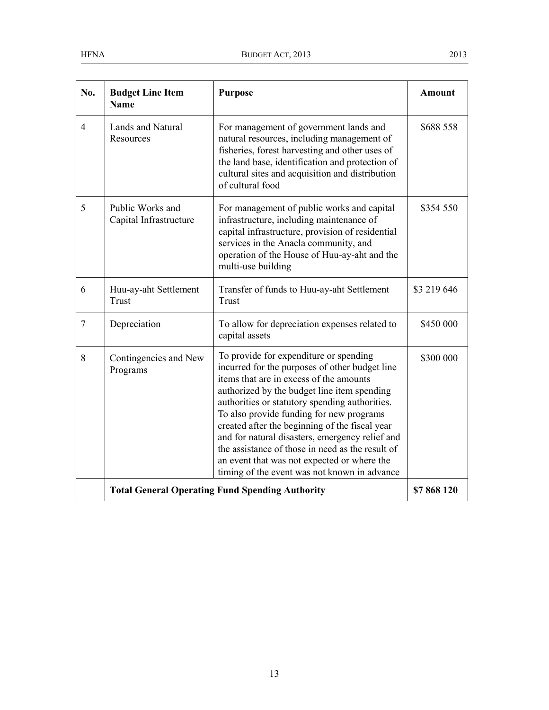| No.            | <b>Budget Line Item</b><br><b>Name</b>     | <b>Purpose</b>                                                                                                                                                                                                                                                                                                                                                                                                                                                                                                                           | <b>Amount</b> |
|----------------|--------------------------------------------|------------------------------------------------------------------------------------------------------------------------------------------------------------------------------------------------------------------------------------------------------------------------------------------------------------------------------------------------------------------------------------------------------------------------------------------------------------------------------------------------------------------------------------------|---------------|
| $\overline{4}$ | <b>Lands and Natural</b><br>Resources      | For management of government lands and<br>natural resources, including management of<br>fisheries, forest harvesting and other uses of<br>the land base, identification and protection of<br>cultural sites and acquisition and distribution<br>of cultural food                                                                                                                                                                                                                                                                         | \$688 558     |
| 5              | Public Works and<br>Capital Infrastructure | For management of public works and capital<br>infrastructure, including maintenance of<br>capital infrastructure, provision of residential<br>services in the Anacla community, and<br>operation of the House of Huu-ay-aht and the<br>multi-use building                                                                                                                                                                                                                                                                                | \$354 550     |
| 6              | Huu-ay-aht Settlement<br>Trust             | Transfer of funds to Huu-ay-aht Settlement<br>Trust                                                                                                                                                                                                                                                                                                                                                                                                                                                                                      | \$3 219 646   |
| $\tau$         | Depreciation                               | To allow for depreciation expenses related to<br>capital assets                                                                                                                                                                                                                                                                                                                                                                                                                                                                          | \$450 000     |
| 8              | Contingencies and New<br>Programs          | To provide for expenditure or spending<br>incurred for the purposes of other budget line<br>items that are in excess of the amounts<br>authorized by the budget line item spending<br>authorities or statutory spending authorities.<br>To also provide funding for new programs<br>created after the beginning of the fiscal year<br>and for natural disasters, emergency relief and<br>the assistance of those in need as the result of<br>an event that was not expected or where the<br>timing of the event was not known in advance | \$300 000     |
|                |                                            | <b>Total General Operating Fund Spending Authority</b>                                                                                                                                                                                                                                                                                                                                                                                                                                                                                   | \$7868120     |